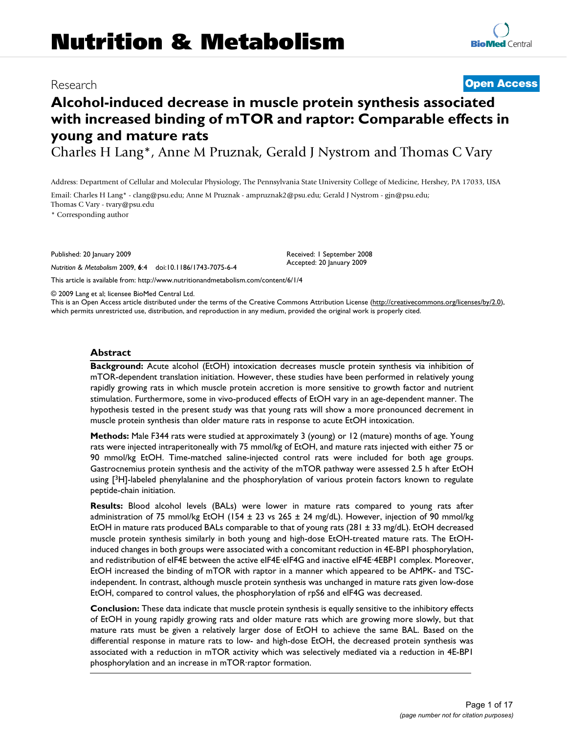# **Nutrition & Metabolism**

## **Alcohol-induced decrease in muscle protein synthesis associated with increased binding of mTOR and raptor: Comparable effects in young and mature rats**

Charles H Lang\*, Anne M Pruznak, Gerald J Nystrom and Thomas C Vary

Address: Department of Cellular and Molecular Physiology, The Pennsylvania State University College of Medicine, Hershey, PA 17033, USA

Email: Charles H Lang\* - clang@psu.edu; Anne M Pruznak - ampruznak2@psu.edu; Gerald J Nystrom - gjn@psu.edu; Thomas C Vary - tvary@psu.edu

\* Corresponding author

Published: 20 January 2009

*Nutrition & Metabolism* 2009, **6**:4 doi:10.1186/1743-7075-6-4

Received: 1 September 2008 Accepted: 20 January 2009

© 2009 Lang et al; licensee BioMed Central Ltd.

[This article is available from: http://www.nutritionandmetabolism.com/content/6/1/4](http://www.nutritionandmetabolism.com/content/6/1/4)

This is an Open Access article distributed under the terms of the Creative Commons Attribution License [\(http://creativecommons.org/licenses/by/2.0\)](http://creativecommons.org/licenses/by/2.0), which permits unrestricted use, distribution, and reproduction in any medium, provided the original work is properly cited.

#### **Abstract**

**Background:** Acute alcohol (EtOH) intoxication decreases muscle protein synthesis via inhibition of mTOR-dependent translation initiation. However, these studies have been performed in relatively young rapidly growing rats in which muscle protein accretion is more sensitive to growth factor and nutrient stimulation. Furthermore, some in vivo-produced effects of EtOH vary in an age-dependent manner. The hypothesis tested in the present study was that young rats will show a more pronounced decrement in muscle protein synthesis than older mature rats in response to acute EtOH intoxication.

**Methods:** Male F344 rats were studied at approximately 3 (young) or 12 (mature) months of age. Young rats were injected intraperitoneally with 75 mmol/kg of EtOH, and mature rats injected with either 75 or 90 mmol/kg EtOH. Time-matched saline-injected control rats were included for both age groups. Gastrocnemius protein synthesis and the activity of the mTOR pathway were assessed 2.5 h after EtOH using [3H]-labeled phenylalanine and the phosphorylation of various protein factors known to regulate peptide-chain initiation.

**Results:** Blood alcohol levels (BALs) were lower in mature rats compared to young rats after administration of 75 mmol/kg EtOH (154  $\pm$  23 vs 265  $\pm$  24 mg/dL). However, injection of 90 mmol/kg EtOH in mature rats produced BALs comparable to that of young rats (281  $\pm$  33 mg/dL). EtOH decreased muscle protein synthesis similarly in both young and high-dose EtOH-treated mature rats. The EtOHinduced changes in both groups were associated with a concomitant reduction in 4E-BP1 phosphorylation, and redistribution of eIF4E between the active eIF4E·eIF4G and inactive eIF4E·4EBP1 complex. Moreover, EtOH increased the binding of mTOR with raptor in a manner which appeared to be AMPK- and TSCindependent. In contrast, although muscle protein synthesis was unchanged in mature rats given low-dose EtOH, compared to control values, the phosphorylation of rpS6 and eIF4G was decreased.

**Conclusion:** These data indicate that muscle protein synthesis is equally sensitive to the inhibitory effects of EtOH in young rapidly growing rats and older mature rats which are growing more slowly, but that mature rats must be given a relatively larger dose of EtOH to achieve the same BAL. Based on the differential response in mature rats to low- and high-dose EtOH, the decreased protein synthesis was associated with a reduction in mTOR activity which was selectively mediated via a reduction in 4E-BP1 phosphorylation and an increase in mTOR·raptor formation.

### Research **[Open Access](http://www.biomedcentral.com/info/about/charter/)**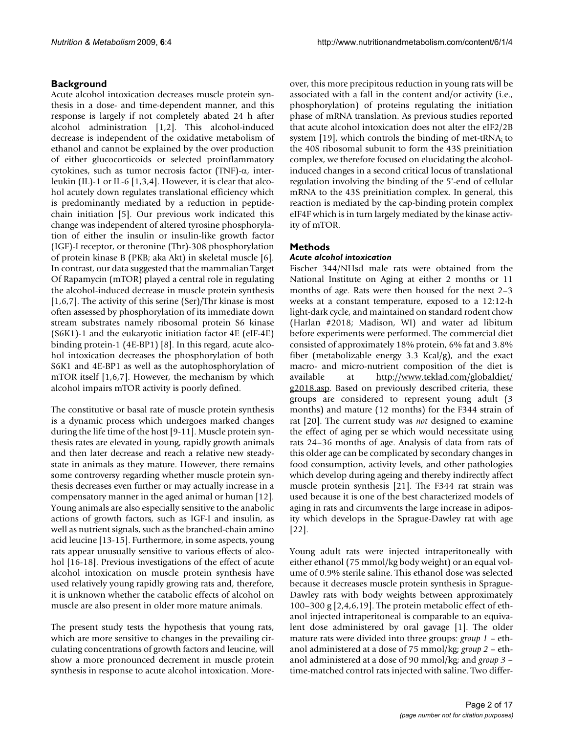### **Background**

Acute alcohol intoxication decreases muscle protein synthesis in a dose- and time-dependent manner, and this response is largely if not completely abated 24 h after alcohol administration [1,2]. This alcohol-induced decrease is independent of the oxidative metabolism of ethanol and cannot be explained by the over production of either glucocorticoids or selected proinflammatory cytokines, such as tumor necrosis factor (TNF)-α, interleukin (IL)-1 or IL-6 [1,3,4]. However, it is clear that alcohol acutely down regulates translational efficiency which is predominantly mediated by a reduction in peptidechain initiation [5]. Our previous work indicated this change was independent of altered tyrosine phosphorylation of either the insulin or insulin-like growth factor (IGF)-I receptor, or theronine (Thr)-308 phosphorylation of protein kinase B (PKB; aka Akt) in skeletal muscle [6]. In contrast, our data suggested that the mammalian Target Of Rapamycin (mTOR) played a central role in regulating the alcohol-induced decrease in muscle protein synthesis [1,6,7]. The activity of this serine (Ser)/Thr kinase is most often assessed by phosphorylation of its immediate down stream substrates namely ribosomal protein S6 kinase (S6K1)-1 and the eukaryotic initiation factor 4E (eIF-4E) binding protein-1 (4E-BP1) [8]. In this regard, acute alcohol intoxication decreases the phosphorylation of both S6K1 and 4E-BP1 as well as the autophosphorylation of mTOR itself [1,6,7]. However, the mechanism by which alcohol impairs mTOR activity is poorly defined.

The constitutive or basal rate of muscle protein synthesis is a dynamic process which undergoes marked changes during the life time of the host [9-11]. Muscle protein synthesis rates are elevated in young, rapidly growth animals and then later decrease and reach a relative new steadystate in animals as they mature. However, there remains some controversy regarding whether muscle protein synthesis decreases even further or may actually increase in a compensatory manner in the aged animal or human [12]. Young animals are also especially sensitive to the anabolic actions of growth factors, such as IGF-I and insulin, as well as nutrient signals, such as the branched-chain amino acid leucine [13-15]. Furthermore, in some aspects, young rats appear unusually sensitive to various effects of alcohol [16-18]. Previous investigations of the effect of acute alcohol intoxication on muscle protein synthesis have used relatively young rapidly growing rats and, therefore, it is unknown whether the catabolic effects of alcohol on muscle are also present in older more mature animals.

The present study tests the hypothesis that young rats, which are more sensitive to changes in the prevailing circulating concentrations of growth factors and leucine, will show a more pronounced decrement in muscle protein synthesis in response to acute alcohol intoxication. Moreover, this more precipitous reduction in young rats will be associated with a fall in the content and/or activity (i.e., phosphorylation) of proteins regulating the initiation phase of mRNA translation. As previous studies reported that acute alcohol intoxication does not alter the eIF2/2B system  $[19]$ , which controls the binding of met-tRNA; to the 40S ribosomal subunit to form the 43S preinitiation complex, we therefore focused on elucidating the alcoholinduced changes in a second critical locus of translational regulation involving the binding of the 5'-end of cellular mRNA to the 43S preinitiation complex. In general, this reaction is mediated by the cap-binding protein complex eIF4F which is in turn largely mediated by the kinase activity of mTOR.

### **Methods**

#### *Acute alcohol intoxication*

Fischer 344/NHsd male rats were obtained from the National Institute on Aging at either 2 months or 11 months of age. Rats were then housed for the next 2–3 weeks at a constant temperature, exposed to a 12:12-h light-dark cycle, and maintained on standard rodent chow (Harlan #2018; Madison, WI) and water ad libitum before experiments were performed. The commercial diet consisted of approximately 18% protein, 6% fat and 3.8% fiber (metabolizable energy 3.3 Kcal/g), and the exact macro- and micro-nutrient composition of the diet is available at [http://www.teklad.com/globaldiet/](http://www.teklad.com/globaldiet/g2018.asp) [g2018.asp.](http://www.teklad.com/globaldiet/g2018.asp) Based on previously described criteria, these groups are considered to represent young adult (3 months) and mature (12 months) for the F344 strain of rat [20]. The current study was *not* designed to examine the effect of aging per se which would necessitate using rats 24–36 months of age. Analysis of data from rats of this older age can be complicated by secondary changes in food consumption, activity levels, and other pathologies which develop during ageing and thereby indirectly affect muscle protein synthesis [21]. The F344 rat strain was used because it is one of the best characterized models of aging in rats and circumvents the large increase in adiposity which develops in the Sprague-Dawley rat with age [22].

Young adult rats were injected intraperitoneally with either ethanol (75 mmol/kg body weight) or an equal volume of 0.9% sterile saline. This ethanol dose was selected because it decreases muscle protein synthesis in Sprague-Dawley rats with body weights between approximately 100–300 g [2,4,6,19]. The protein metabolic effect of ethanol injected intraperitoneal is comparable to an equivalent dose administered by oral gavage [1]. The older mature rats were divided into three groups: *group 1* – ethanol administered at a dose of 75 mmol/kg; *group 2* – ethanol administered at a dose of 90 mmol/kg; and *group 3* – time-matched control rats injected with saline. Two differ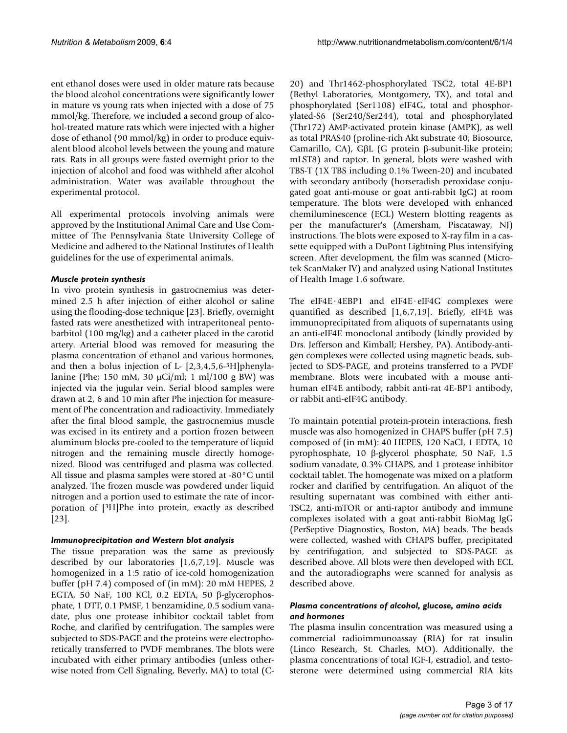ent ethanol doses were used in older mature rats because the blood alcohol concentrations were significantly lower in mature vs young rats when injected with a dose of 75 mmol/kg. Therefore, we included a second group of alcohol-treated mature rats which were injected with a higher dose of ethanol (90 mmol/kg) in order to produce equivalent blood alcohol levels between the young and mature rats. Rats in all groups were fasted overnight prior to the injection of alcohol and food was withheld after alcohol administration. Water was available throughout the experimental protocol.

All experimental protocols involving animals were approved by the Institutional Animal Care and Use Committee of The Pennsylvania State University College of Medicine and adhered to the National Institutes of Health guidelines for the use of experimental animals.

#### *Muscle protein synthesis*

In vivo protein synthesis in gastrocnemius was determined 2.5 h after injection of either alcohol or saline using the flooding-dose technique [23]. Briefly, overnight fasted rats were anesthetized with intraperitoneal pentobarbitol (100 mg/kg) and a catheter placed in the carotid artery. Arterial blood was removed for measuring the plasma concentration of ethanol and various hormones, and then a bolus injection of L- [2,3,4,5,6-3H]phenylalanine (Phe; 150 mM, 30  $\mu$ Ci/ml; 1 ml/100 g BW) was injected via the jugular vein. Serial blood samples were drawn at 2, 6 and 10 min after Phe injection for measurement of Phe concentration and radioactivity. Immediately after the final blood sample, the gastrocnemius muscle was excised in its entirety and a portion frozen between aluminum blocks pre-cooled to the temperature of liquid nitrogen and the remaining muscle directly homogenized. Blood was centrifuged and plasma was collected. All tissue and plasma samples were stored at -80°C until analyzed. The frozen muscle was powdered under liquid nitrogen and a portion used to estimate the rate of incorporation of [3H]Phe into protein, exactly as described [23].

#### *Immunoprecipitation and Western blot analysis*

The tissue preparation was the same as previously described by our laboratories [1,6,7,19]. Muscle was homogenized in a 1:5 ratio of ice-cold homogenization buffer (pH 7.4) composed of (in mM): 20 mM HEPES, 2 EGTA, 50 NaF, 100 KCl, 0.2 EDTA, 50 β-glycerophosphate, 1 DTT, 0.1 PMSF, 1 benzamidine, 0.5 sodium vanadate, plus one protease inhibitor cocktail tablet from Roche, and clarified by centrifugation. The samples were subjected to SDS-PAGE and the proteins were electrophoretically transferred to PVDF membranes. The blots were incubated with either primary antibodies (unless otherwise noted from Cell Signaling, Beverly, MA) to total (C-

20) and Thr1462-phosphorylated TSC2, total 4E-BP1 (Bethyl Laboratories, Montgomery, TX), and total and phosphorylated (Ser1108) eIF4G, total and phosphorylated-S6 (Ser240/Ser244), total and phosphorylated (Thr172) AMP-activated protein kinase (AMPK), as well as total PRAS40 (proline-rich Akt substrate 40; Biosource, Camarillo, CA), GβL (G protein β-subunit-like protein; mLST8) and raptor. In general, blots were washed with TBS-T (1X TBS including 0.1% Tween-20) and incubated with secondary antibody (horseradish peroxidase conjugated goat anti-mouse or goat anti-rabbit IgG) at room temperature. The blots were developed with enhanced chemiluminescence (ECL) Western blotting reagents as per the manufacturer's (Amersham, Piscataway, NJ) instructions. The blots were exposed to X-ray film in a cassette equipped with a DuPont Lightning Plus intensifying screen. After development, the film was scanned (Microtek ScanMaker IV) and analyzed using National Institutes of Health Image 1.6 software.

The eIF4E·4EBP1 and eIF4E·eIF4G complexes were quantified as described [1,6,7,19]. Briefly, eIF4E was immunoprecipitated from aliquots of supernatants using an anti-eIF4E monoclonal antibody (kindly provided by Drs. Jefferson and Kimball; Hershey, PA). Antibody-antigen complexes were collected using magnetic beads, subjected to SDS-PAGE, and proteins transferred to a PVDF membrane. Blots were incubated with a mouse antihuman eIF4E antibody, rabbit anti-rat 4E-BP1 antibody, or rabbit anti-eIF4G antibody.

To maintain potential protein-protein interactions, fresh muscle was also homogenized in CHAPS buffer (pH 7.5) composed of (in mM): 40 HEPES, 120 NaCl, 1 EDTA, 10 pyrophosphate, 10 β-glycerol phosphate, 50 NaF, 1.5 sodium vanadate, 0.3% CHAPS, and 1 protease inhibitor cocktail tablet. The homogenate was mixed on a platform rocker and clarified by centrifugation. An aliquot of the resulting supernatant was combined with either anti-TSC2, anti-mTOR or anti-raptor antibody and immune complexes isolated with a goat anti-rabbit BioMag IgG (PerSeptive Diagnostics, Boston, MA) beads. The beads were collected, washed with CHAPS buffer, precipitated by centrifugation, and subjected to SDS-PAGE as described above. All blots were then developed with ECL and the autoradiographs were scanned for analysis as described above.

#### *Plasma concentrations of alcohol, glucose, amino acids and hormones*

The plasma insulin concentration was measured using a commercial radioimmunoassay (RIA) for rat insulin (Linco Research, St. Charles, MO). Additionally, the plasma concentrations of total IGF-I, estradiol, and testosterone were determined using commercial RIA kits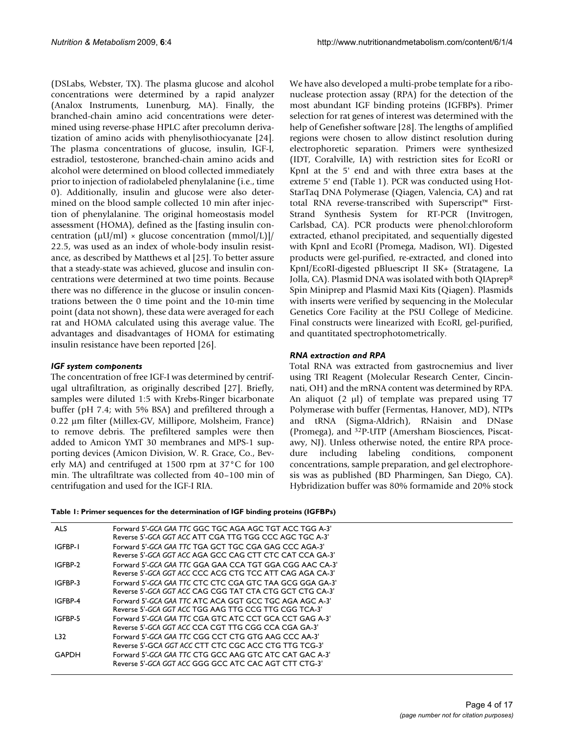(DSLabs, Webster, TX). The plasma glucose and alcohol concentrations were determined by a rapid analyzer (Analox Instruments, Lunenburg, MA). Finally, the branched-chain amino acid concentrations were determined using reverse-phase HPLC after precolumn derivatization of amino acids with phenylisothiocyanate [24]. The plasma concentrations of glucose, insulin, IGF-I, estradiol, testosterone, branched-chain amino acids and alcohol were determined on blood collected immediately prior to injection of radiolabeled phenylalanine (i.e., time 0). Additionally, insulin and glucose were also determined on the blood sample collected 10 min after injection of phenylalanine. The original homeostasis model assessment (HOMA), defined as the [fasting insulin concentration  $(\mu U/ml) \times$  glucose concentration  $(mmol/L))/$ 22.5, was used as an index of whole-body insulin resistance, as described by Matthews et al [25]. To better assure that a steady-state was achieved, glucose and insulin concentrations were determined at two time points. Because there was no difference in the glucose or insulin concentrations between the 0 time point and the 10-min time point (data not shown), these data were averaged for each rat and HOMA calculated using this average value. The advantages and disadvantages of HOMA for estimating insulin resistance have been reported [26].

#### *IGF system components*

The concentration of free IGF-I was determined by centrifugal ultrafiltration, as originally described [27]. Briefly, samples were diluted 1:5 with Krebs-Ringer bicarbonate buffer (pH 7.4; with 5% BSA) and prefiltered through a 0.22 μm filter (Millex-GV, Millipore, Molsheim, France) to remove debris. The prefiltered samples were then added to Amicon YMT 30 membranes and MPS-1 supporting devices (Amicon Division, W. R. Grace, Co., Beverly MA) and centrifuged at 1500 rpm at 37°C for 100 min. The ultrafiltrate was collected from 40–100 min of centrifugation and used for the IGF-I RIA.

We have also developed a multi-probe template for a ribonuclease protection assay (RPA) for the detection of the most abundant IGF binding proteins (IGFBPs). Primer selection for rat genes of interest was determined with the help of Genefisher software [28]. The lengths of amplified regions were chosen to allow distinct resolution during electrophoretic separation. Primers were synthesized (IDT, Coralville, IA) with restriction sites for EcoRI or KpnI at the 5' end and with three extra bases at the extreme 5' end (Table 1). PCR was conducted using Hot-StarTaq DNA Polymerase (Qiagen, Valencia, CA) and rat total RNA reverse-transcribed with Superscript™ First-Strand Synthesis System for RT-PCR (Invitrogen, Carlsbad, CA). PCR products were phenol:chloroform extracted, ethanol precipitated, and sequentially digested with KpnI and EcoRI (Promega, Madison, WI). Digested products were gel-purified, re-extracted, and cloned into KpnI/EcoRI-digested pBluescript II SK+ (Stratagene, La Jolla, CA). Plasmid DNA was isolated with both QIAprep<sup>R</sup> Spin Miniprep and Plasmid Maxi Kits (Qiagen). Plasmids with inserts were verified by sequencing in the Molecular Genetics Core Facility at the PSU College of Medicine. Final constructs were linearized with EcoRI, gel-purified, and quantitated spectrophotometrically.

#### *RNA extraction and RPA*

Total RNA was extracted from gastrocnemius and liver using TRI Reagent (Molecular Research Center, Cincinnati, OH) and the mRNA content was determined by RPA. An aliquot (2 μl) of template was prepared using T7 Polymerase with buffer (Fermentas, Hanover, MD), NTPs and tRNA (Sigma-Aldrich), RNaisin and DNase (Promega), and 32P-UTP (Amersham Biosciences, Piscatawy, NJ). Unless otherwise noted, the entire RPA procedure including labeling conditions, component concentrations, sample preparation, and gel electrophoresis was as published (BD Pharmingen, San Diego, CA). Hybridization buffer was 80% formamide and 20% stock

**Table 1: Primer sequences for the determination of IGF binding proteins (IGFBPs)**

| <b>ALS</b>   | Forward 5'-GCA GAA TTC GGC TGC AGA AGC TGT ACC TGG A-3'<br>Reverse 5'-GCA GGT ACC ATT CGA TTG TGG CCC AGC TGC A-3'   |  |
|--------------|----------------------------------------------------------------------------------------------------------------------|--|
| IGFBP-1      | Forward 5'-GCA GAA TTC TGA GCT TGC CGA GAG CCC AGA-3'<br>Reverse 5'-GCA GGT ACC AGA GCC CAG CTT CTC CAT CCA GA-3'    |  |
| IGFBP-2      | Forward 5'-GCA GAA TTC GGA GAA CCA TGT GGA CGG AAC CA-3'<br>Reverse 5'-GCA GGT ACC CCC ACG CTG TCC ATT CAG AGA CA-3' |  |
| IGFBP-3      | Forward 5'-GCA GAA TTC CTC CTC CGA GTC TAA GCG GGA GA-3'<br>Reverse 5'-GCA GGT ACC CAG CGG TAT CTA CTG GCT CTG CA-3' |  |
| IGFBP-4      | Forward 5'-GCA GAA TTC ATC ACA GGT GCC TGC AGA AGC A-3'<br>Reverse 5'-GCA GGT ACC TGG AAG TTG CCG TTG CGG TCA-3'     |  |
| IGFBP-5      | Forward 5'-GCA GAA TTC CGA GTC ATC CCT GCA CCT GAG A-3'<br>Reverse 5'-GCA GGT ACC CCA CGT TTG CGG CCA CGA GA-3'      |  |
| L32          | Forward 5'-GCA GAA TTC CGG CCT CTG GTG AAG CCC AA-3'<br>Reverse 5'-GCA GGT ACC CTT CTC CGC ACC CTG TTG TCG-3'        |  |
| <b>GAPDH</b> | Forward 5'-GCA GAA TTC CTG GCC AAG GTC ATC CAT GAC A-3'<br>Reverse 5'-GCA GGT ACC GGG GCC ATC CAC AGT CTT CTG-3'     |  |
|              |                                                                                                                      |  |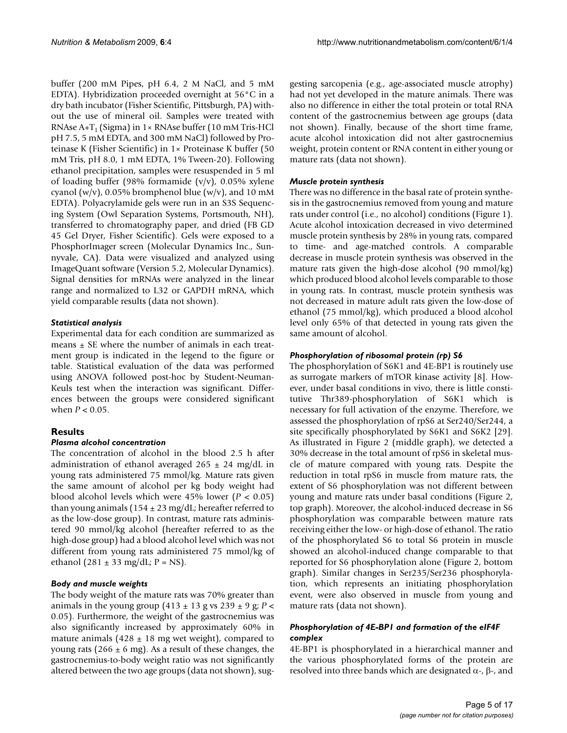buffer (200 mM Pipes, pH 6.4, 2 M NaCl, and 5 mM EDTA). Hybridization proceeded overnight at 56°C in a dry bath incubator (Fisher Scientific, Pittsburgh, PA) without the use of mineral oil. Samples were treated with RNAse  $A + T_1$  (Sigma) in  $1 \times$  RNAse buffer (10 mM Tris-HCl pH 7.5, 5 mM EDTA, and 300 mM NaCl) followed by Proteinase K (Fisher Scientific) in 1× Proteinase K buffer (50 mM Tris, pH 8.0, 1 mM EDTA, 1% Tween-20). Following ethanol precipitation, samples were resuspended in 5 ml of loading buffer (98% formamide  $(v/v)$ , 0.05% xylene cyanol (w/v), 0.05% bromphenol blue (w/v), and 10 mM EDTA). Polyacrylamide gels were run in an S3S Sequencing System (Owl Separation Systems, Portsmouth, NH), transferred to chromatography paper, and dried (FB GD 45 Gel Dryer, Fisher Scientific). Gels were exposed to a PhosphorImager screen (Molecular Dynamics Inc., Sunnyvale, CA). Data were visualized and analyzed using ImageQuant software (Version 5.2, Molecular Dynamics). Signal densities for mRNAs were analyzed in the linear range and normalized to L32 or GAPDH mRNA, which yield comparable results (data not shown).

#### *Statistical analysis*

Experimental data for each condition are summarized as means ± SE where the number of animals in each treatment group is indicated in the legend to the figure or table. Statistical evaluation of the data was performed using ANOVA followed post-hoc by Student-Neuman-Keuls test when the interaction was significant. Differences between the groups were considered significant when *P* < 0.05.

#### **Results**

#### *Plasma alcohol concentration*

The concentration of alcohol in the blood 2.5 h after administration of ethanol averaged  $265 \pm 24$  mg/dL in young rats administered 75 mmol/kg. Mature rats given the same amount of alcohol per kg body weight had blood alcohol levels which were 45% lower (*P* < 0.05) than young animals (154  $\pm$  23 mg/dL; hereafter referred to as the low-dose group). In contrast, mature rats administered 90 mmol/kg alcohol (hereafter referred to as the high-dose group) had a blood alcohol level which was not different from young rats administered 75 mmol/kg of ethanol  $(281 \pm 33 \text{ mg/dL}; P = \text{NS}).$ 

#### *Body and muscle weights*

The body weight of the mature rats was 70% greater than animals in the young group  $(413 \pm 13$  g vs  $239 \pm 9$  g;  $P \lt \theta$ 0.05). Furthermore, the weight of the gastrocnemius was also significantly increased by approximately 60% in mature animals  $(428 \pm 18 \text{ mg} \text{ wet weight})$ , compared to young rats (266  $\pm$  6 mg). As a result of these changes, the gastrocnemius-to-body weight ratio was not significantly altered between the two age groups (data not shown), suggesting sarcopenia (e.g., age-associated muscle atrophy) had not yet developed in the mature animals. There was also no difference in either the total protein or total RNA content of the gastrocnemius between age groups (data not shown). Finally, because of the short time frame, acute alcohol intoxication did not alter gastrocnemius weight, protein content or RNA content in either young or mature rats (data not shown).

#### *Muscle protein synthesis*

There was no difference in the basal rate of protein synthesis in the gastrocnemius removed from young and mature rats under control (i.e., no alcohol) conditions (Figure 1). Acute alcohol intoxication decreased in vivo determined muscle protein synthesis by 28% in young rats, compared to time- and age-matched controls. A comparable decrease in muscle protein synthesis was observed in the mature rats given the high-dose alcohol (90 mmol/kg) which produced blood alcohol levels comparable to those in young rats. In contrast, muscle protein synthesis was not decreased in mature adult rats given the low-dose of ethanol (75 mmol/kg), which produced a blood alcohol level only 65% of that detected in young rats given the same amount of alcohol.

#### *Phosphorylation of ribosomal protein (rp) S6*

The phosphorylation of S6K1 and 4E-BP1 is routinely use as surrogate markers of mTOR kinase activity [8]. However, under basal conditions in vivo, there is little constitutive Thr389-phosphorylation of S6K1 which is necessary for full activation of the enzyme. Therefore, we assessed the phosphorylation of rpS6 at Ser240/Ser244, a site specifically phosphorylated by S6K1 and S6K2 [29]. As illustrated in Figure 2 (middle graph), we detected a 30% decrease in the total amount of rpS6 in skeletal muscle of mature compared with young rats. Despite the reduction in total rpS6 in muscle from mature rats, the extent of S6 phosphorylation was not different between young and mature rats under basal conditions (Figure 2, top graph). Moreover, the alcohol-induced decrease in S6 phosphorylation was comparable between mature rats receiving either the low- or high-dose of ethanol. The ratio of the phosphorylated S6 to total S6 protein in muscle showed an alcohol-induced change comparable to that reported for S6 phosphorylation alone (Figure 2, bottom graph). Similar changes in Ser235/Ser236 phosphorylation, which represents an initiating phosphorylation event, were also observed in muscle from young and mature rats (data not shown).

#### *Phosphorylation of 4E-BP1 and formation of the eIF4F complex*

4E-BP1 is phosphorylated in a hierarchical manner and the various phosphorylated forms of the protein are resolved into three bands which are designated α-, β-, and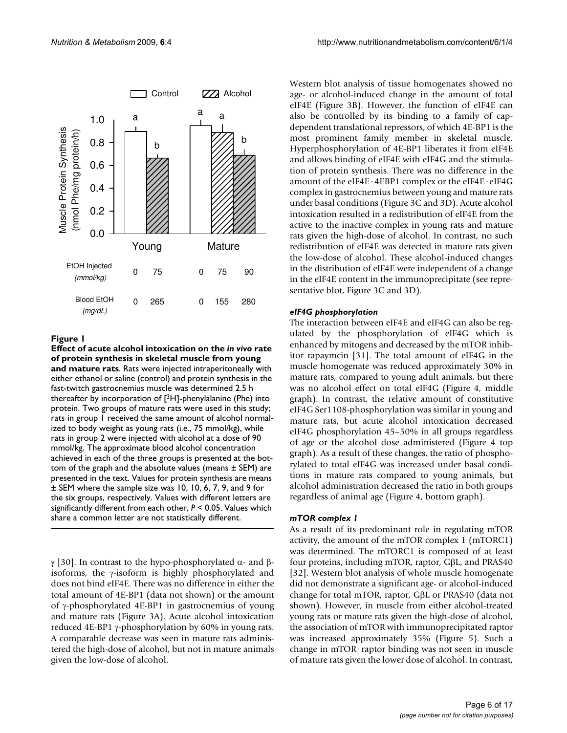

#### Figure 1

**Effect of acute alcohol intoxication on the** *in vivo* **rate of protein synthesis in skeletal muscle from young and mature rats**. Rats were injected intraperitoneally with either ethanol or saline (control) and protein synthesis in the fast-twitch gastrocnemius muscle was determined 2.5 h thereafter by incorporation of [3H]-phenylalanine (Phe) into protein. Two groups of mature rats were used in this study; rats in group 1 received the same amount of alcohol normalized to body weight as young rats (i.e., 75 mmol/kg), while rats in group 2 were injected with alcohol at a dose of 90 mmol/kg. The approximate blood alcohol concentration achieved in each of the three groups is presented at the bottom of the graph and the absolute values (means  $\pm$  SEM) are presented in the text. Values for protein synthesis are means ± SEM where the sample size was 10, 10, 6, 7, 9, and 9 for the six groups, respectively. Values with different letters are significantly different from each other, *P* < 0.05. Values which share a common letter are not statistically different.

γ [30]. In contrast to the hypo-phosphorylated α- and βisoforms, the  $\gamma$ -isoform is highly phosphorylated and does not bind eIF4E. There was no difference in either the total amount of 4E-BP1 (data not shown) or the amount of γ-phosphorylated 4E-BP1 in gastrocnemius of young and mature rats (Figure 3A). Acute alcohol intoxication reduced 4E-BP1 γ-phosphorylation by 60% in young rats. A comparable decrease was seen in mature rats administered the high-dose of alcohol, but not in mature animals given the low-dose of alcohol.

Western blot analysis of tissue homogenates showed no age- or alcohol-induced change in the amount of total eIF4E (Figure 3B). However, the function of eIF4E can also be controlled by its binding to a family of capdependent translational repressors, of which 4E-BP1 is the most prominent family member in skeletal muscle. Hyperphosphorylation of 4E-BP1 liberates it from eIF4E and allows binding of eIF4E with eIF4G and the stimulation of protein synthesis. There was no difference in the amount of the eIF4E·4EBP1 complex or the eIF4E·eIF4G complex in gastrocnemius between young and mature rats under basal conditions (Figure 3C and 3D). Acute alcohol intoxication resulted in a redistribution of eIF4E from the active to the inactive complex in young rats and mature rats given the high-dose of alcohol. In contrast, no such redistribution of eIF4E was detected in mature rats given the low-dose of alcohol. These alcohol-induced changes in the distribution of eIF4E were independent of a change in the eIF4E content in the immunoprecipitate (see representative blot, Figure 3C and 3D).

#### *eIF4G phosphorylation*

The interaction between eIF4E and eIF4G can also be regulated by the phosphorylation of eIF4G which is enhanced by mitogens and decreased by the mTOR inhibitor rapaymcin [31]. The total amount of eIF4G in the muscle homogenate was reduced approximately 30% in mature rats, compared to young adult animals, but there was no alcohol effect on total eIF4G (Figure 4, middle graph). In contrast, the relative amount of constitutive eIF4G Ser1108-phosphorylation was similar in young and mature rats, but acute alcohol intoxication decreased eIF4G phosphorylation 45–50% in all groups regardless of age or the alcohol dose administered (Figure 4 top graph). As a result of these changes, the ratio of phosphorylated to total eIF4G was increased under basal conditions in mature rats compared to young animals, but alcohol administration decreased the ratio in both groups regardless of animal age (Figure 4, bottom graph).

#### *mTOR complex 1*

As a result of its predominant role in regulating mTOR activity, the amount of the mTOR complex 1 (mTORC1) was determined. The mTORC1 is composed of at least four proteins, including mTOR, raptor, GβL, and PRAS40 [32]. Western blot analysis of whole muscle homogenate did not demonstrate a significant age- or alcohol-induced change for total mTOR, raptor, GβL or PRAS40 (data not shown). However, in muscle from either alcohol-treated young rats or mature rats given the high-dose of alcohol, the association of mTOR with immunoprecipitated raptor was increased approximately 35% (Figure 5). Such a change in mTOR·raptor binding was not seen in muscle of mature rats given the lower dose of alcohol. In contrast,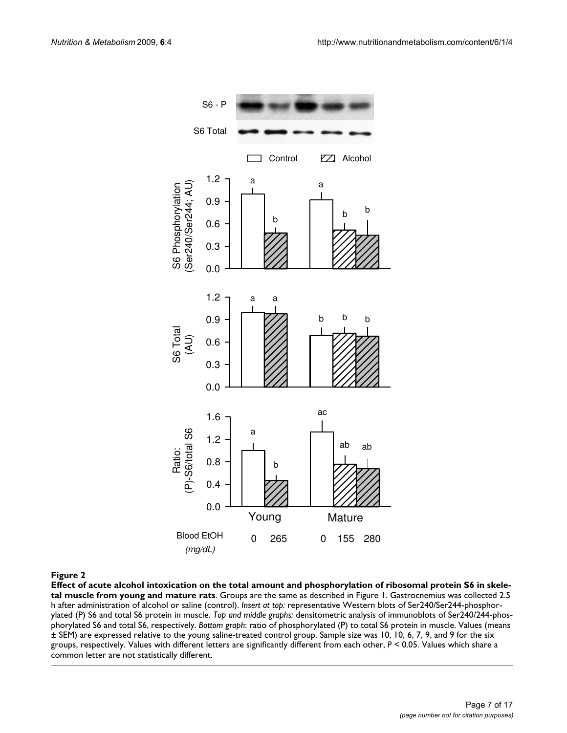

**Effect of acute alcohol intoxication on the total amount and phosphorylation of ribosomal protein S6 in skeletal muscle from young and mature rats**. Groups are the same as described in Figure 1. Gastrocnemius was collected 2.5 h after administration of alcohol or saline (control). *Insert at top:* representative Western blots of Ser240/Ser244-phosphorylated (P) S6 and total S6 protein in muscle. *Top and middle graphs:* densitometric analysis of immunoblots of Ser240/244-phosphorylated S6 and total S6, respectively. *Bottom graph*: ratio of phosphorylated (P) to total S6 protein in muscle. Values (means ± SEM) are expressed relative to the young saline-treated control group. Sample size was 10, 10, 6, 7, 9, and 9 for the six groups, respectively. Values with different letters are significantly different from each other, *P* < 0.05. Values which share a common letter are not statistically different.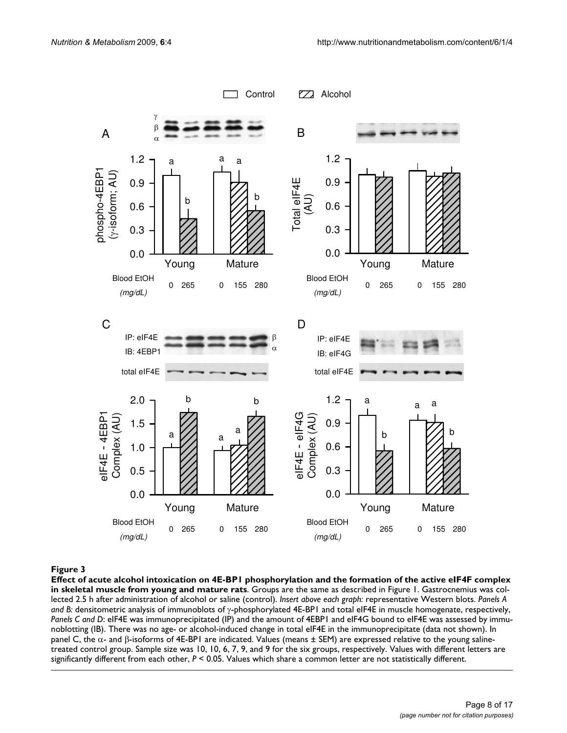

#### Effect of acute alcohol intoxication on 4E cle from young and mature rats **Figure 3** -BP1 phosphorylation and the formation of the active eIF4F complex in skeletal mus-

**Effect of acute alcohol intoxication on 4E-BP1 phosphorylation and the formation of the active eIF4F complex in skeletal muscle from young and mature rats**. Groups are the same as described in Figure 1. Gastrocnemius was collected 2.5 h after administration of alcohol or saline (control). *Insert above each graph:* representative Western blots. *Panels A and B:* densitometric analysis of immunoblots of γ-phosphorylated 4E-BP1 and total eIF4E in muscle homogenate, respectively, Panels C and D: eIF4E was immunoprecipitated (IP) and the amount of 4EBP1 and eIF4G bound to eIF4E was assessed by immunoblotting (IB). There was no age- or alcohol-induced change in total eIF4E in the immunoprecipitate (data not shown). In panel C, the α- and β-isoforms of 4E-BP1 are indicated. Values (means  $\pm$  SEM) are expressed relative to the young salinetreated control group. Sample size was 10, 10, 6, 7, 9, and 9 for the six groups, respectively. Values with different letters are significantly different from each other, *P* < 0.05. Values which share a common letter are not statistically different.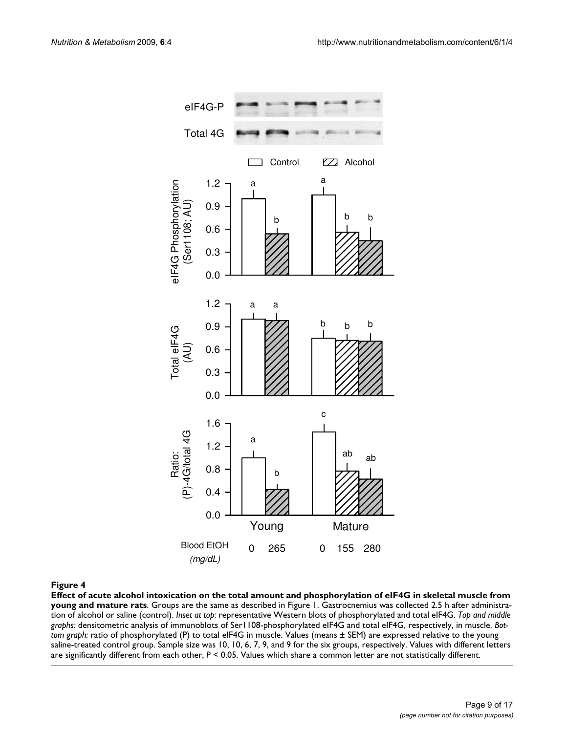

**Effect of acute alcohol intoxication on the total amount and phosphorylation of eIF4G in skeletal muscle from young and mature rats**. Groups are the same as described in Figure 1. Gastrocnemius was collected 2.5 h after administration of alcohol or saline (control). *Inset at top:* representative Western blots of phosphorylated and total eIF4G. *Top and middle graphs:* densitometric analysis of immunoblots of Ser1108-phosphorylated eIF4G and total eIF4G, respectively, in muscle. *Bottom graph:* ratio of phosphorylated (P) to total eIF4G in muscle. Values (means ± SEM) are expressed relative to the young saline-treated control group. Sample size was 10, 10, 6, 7, 9, and 9 for the six groups, respectively. Values with different letters are significantly different from each other, *P* < 0.05. Values which share a common letter are not statistically different.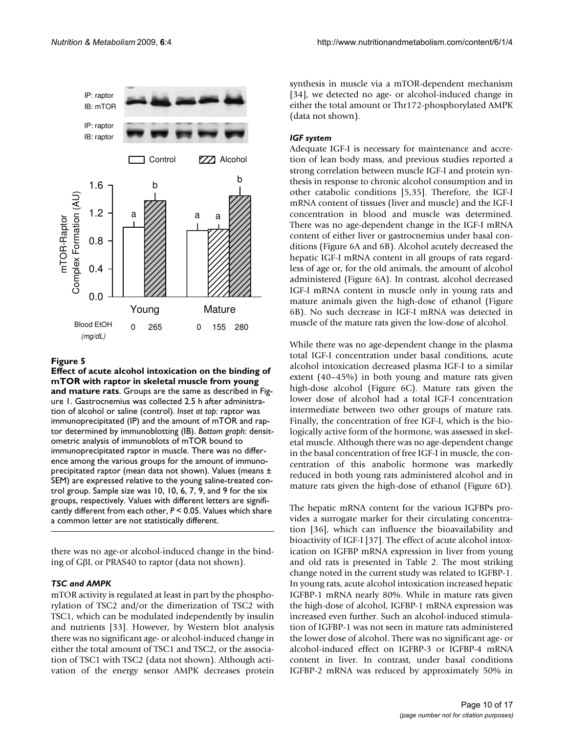

#### Figure 5

**Effect of acute alcohol intoxication on the binding of mTOR with raptor in skeletal muscle from young and mature rats**. Groups are the same as described in Figure 1. Gastrocnemius was collected 2.5 h after administration of alcohol or saline (control). *Inset at top:* raptor was immunoprecipitated (IP) and the amount of mTOR and raptor determined by immunoblotting (IB). *Bottom graph:* densitometric analysis of immunoblots of mTOR bound to immunoprecipitated raptor in muscle. There was no difference among the various groups for the amount of immunoprecipitated raptor (mean data not shown). Values (means ± SEM) are expressed relative to the young saline-treated control group. Sample size was 10, 10, 6, 7, 9, and 9 for the six groups, respectively. Values with different letters are significantly different from each other, *P* < 0.05. Values which share a common letter are not statistically different.

there was no age-or alcohol-induced change in the binding of GβL or PRAS40 to raptor (data not shown).

#### *TSC and AMPK*

mTOR activity is regulated at least in part by the phosphorylation of TSC2 and/or the dimerization of TSC2 with TSC1, which can be modulated independently by insulin and nutrients [33]. However, by Western blot analysis there was no significant age- or alcohol-induced change in either the total amount of TSC1 and TSC2, or the association of TSC1 with TSC2 (data not shown). Although activation of the energy sensor AMPK decreases protein

synthesis in muscle via a mTOR-dependent mechanism [34], we detected no age- or alcohol-induced change in either the total amount or Thr172-phosphorylated AMPK (data not shown).

#### *IGF system*

Adequate IGF-I is necessary for maintenance and accretion of lean body mass, and previous studies reported a strong correlation between muscle IGF-I and protein synthesis in response to chronic alcohol consumption and in other catabolic conditions [5,35]. Therefore, the IGF-I mRNA content of tissues (liver and muscle) and the IGF-I concentration in blood and muscle was determined. There was no age-dependent change in the IGF-I mRNA content of either liver or gastrocnemius under basal conditions (Figure 6A and 6B). Alcohol acutely decreased the hepatic IGF-I mRNA content in all groups of rats regardless of age or, for the old animals, the amount of alcohol administered (Figure 6A). In contrast, alcohol decreased IGF-I mRNA content in muscle only in young rats and mature animals given the high-dose of ethanol (Figure 6B). No such decrease in IGF-I mRNA was detected in muscle of the mature rats given the low-dose of alcohol.

While there was no age-dependent change in the plasma total IGF-I concentration under basal conditions, acute alcohol intoxication decreased plasma IGF-I to a similar extent (40–45%) in both young and mature rats given high-dose alcohol (Figure 6C). Mature rats given the lower dose of alcohol had a total IGF-I concentration intermediate between two other groups of mature rats. Finally, the concentration of free IGF-I, which is the biologically active form of the hormone, was assessed in skeletal muscle. Although there was no age-dependent change in the basal concentration of free IGF-I in muscle, the concentration of this anabolic hormone was markedly reduced in both young rats administered alcohol and in mature rats given the high-dose of ethanol (Figure 6D).

The hepatic mRNA content for the various IGFBPs provides a surrogate marker for their circulating concentration [36], which can influence the bioavailability and bioactivity of IGF-I [37]. The effect of acute alcohol intoxication on IGFBP mRNA expression in liver from young and old rats is presented in Table 2. The most striking change noted in the current study was related to IGFBP-1. In young rats, acute alcohol intoxication increased hepatic IGFBP-1 mRNA nearly 80%. While in mature rats given the high-dose of alcohol, IGFBP-1 mRNA expression was increased even further. Such an alcohol-induced stimulation of IGFBP-1 was not seen in mature rats administered the lower dose of alcohol. There was no significant age- or alcohol-induced effect on IGFBP-3 or IGFBP-4 mRNA content in liver. In contrast, under basal conditions IGFBP-2 mRNA was reduced by approximately 50% in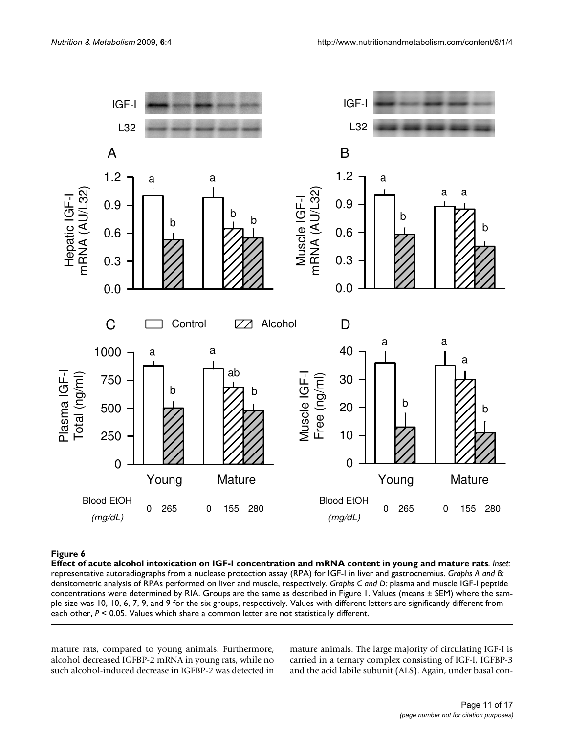

#### **Figure 6** Effect of acute alcohol into xication on IGF-I concentration and mature rats in young and mature rats in young and mature rats in young and mature rats in young and mature rats in young and mature rats in young

**Effect of acute alcohol intoxication on IGF-I concentration and mRNA content in young and mature rats**. *Inset:*  representative autoradiographs from a nuclease protection assay (RPA) for IGF-I in liver and gastrocnemius. *Graphs A and B:*  densitometric analysis of RPAs performed on liver and muscle, respectively. *Graphs C and D:* plasma and muscle IGF-I peptide concentrations were determined by RIA. Groups are the same as described in Figure 1. Values (means ± SEM) where the sample size was 10, 10, 6, 7, 9, and 9 for the six groups, respectively. Values with different letters are significantly different from each other, *P* < 0.05. Values which share a common letter are not statistically different.

mature rats, compared to young animals. Furthermore, alcohol decreased IGFBP-2 mRNA in young rats, while no such alcohol-induced decrease in IGFBP-2 was detected in mature animals. The large majority of circulating IGF-I is carried in a ternary complex consisting of IGF-I, IGFBP-3 and the acid labile subunit (ALS). Again, under basal con-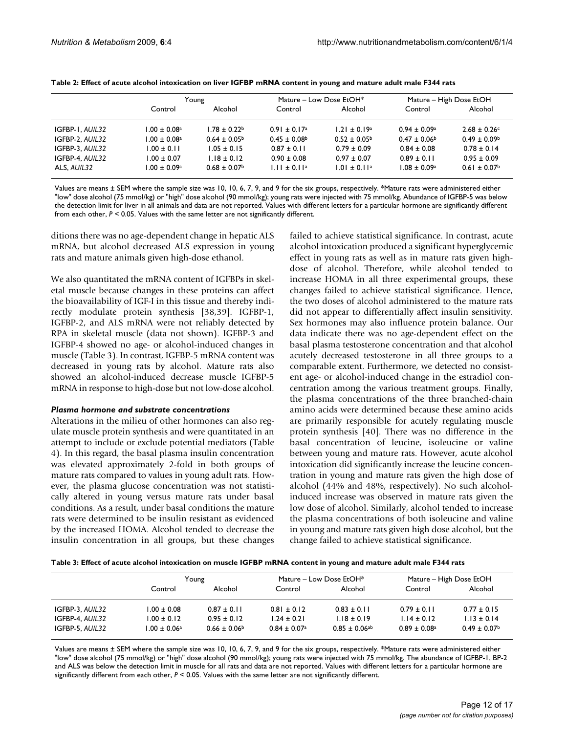|                 | Young                        |                              | Mature – Low Dose EtOH*      |                              | Mature - High Dose EtOH      |                              |
|-----------------|------------------------------|------------------------------|------------------------------|------------------------------|------------------------------|------------------------------|
|                 | Control                      | Alcohol                      | Control                      | Alcohol                      | Control                      | Alcohol                      |
| IGFBP-1, AU/L32 | $1.00 \pm 0.08$ <sup>a</sup> | $1.78 \pm 0.22$              | $0.91 \pm 0.17$ <sup>a</sup> | $1.21 \pm 0.19^a$            | $0.94 \pm 0.09^{\circ}$      | $2.68 \pm 0.26$ c            |
| IGFBP-2, AU/L32 | $1.00 \pm 0.08$ <sup>a</sup> | $0.64 \pm 0.05^{\circ}$      | $0.45 \pm 0.08$              | $0.52 \pm 0.05$ <sup>b</sup> | $0.47 \pm 0.06$ <sup>b</sup> | $0.49 \pm 0.09$ <sup>b</sup> |
| IGFBP-3, AU/L32 | $1.00 \pm 0.11$              | $1.05 \pm 0.15$              | $0.87 \pm 0.11$              | $0.79 + 0.09$                | $0.84 \pm 0.08$              | $0.78 \pm 0.14$              |
| IGFBP-4, AU/L32 | $1.00 \pm 0.07$              | $1.18 \pm 0.12$              | $0.90 \pm 0.08$              | $0.97 \pm 0.07$              | $0.89 \pm 0.11$              | $0.95 \pm 0.09$              |
| ALS. AU/L32     | $1.00 \pm 0.09^{\circ}$      | $0.68 \pm 0.07$ <sup>b</sup> | $1.11 \pm 0.11a$             | $1.01 \pm 0.11a$             | $1.08 \pm 0.09^{\circ}$      | $0.61 \pm 0.07$ <sup>b</sup> |

| Table 2: Effect of acute alcohol intoxication on liver IGFBP mRNA content in young and mature adult male F344 rats |  |
|--------------------------------------------------------------------------------------------------------------------|--|
|--------------------------------------------------------------------------------------------------------------------|--|

Values are means ± SEM where the sample size was 10, 10, 6, 7, 9, and 9 for the six groups, respectively. \*Mature rats were administered either "low" dose alcohol (75 mmol/kg) or "high" dose alcohol (90 mmol/kg); young rats were injected with 75 mmol/kg. Abundance of IGFBP-5 was below the detection limit for liver in all animals and data are not reported. Values with different letters for a particular hormone are significantly different from each other, *P* < 0.05. Values with the same letter are not significantly different.

ditions there was no age-dependent change in hepatic ALS mRNA, but alcohol decreased ALS expression in young rats and mature animals given high-dose ethanol.

We also quantitated the mRNA content of IGFBPs in skeletal muscle because changes in these proteins can affect the bioavailability of IGF-I in this tissue and thereby indirectly modulate protein synthesis [38,39]. IGFBP-1, IGFBP-2, and ALS mRNA were not reliably detected by RPA in skeletal muscle (data not shown). IGFBP-3 and IGFBP-4 showed no age- or alcohol-induced changes in muscle (Table 3). In contrast, IGFBP-5 mRNA content was decreased in young rats by alcohol. Mature rats also showed an alcohol-induced decrease muscle IGFBP-5 mRNA in response to high-dose but not low-dose alcohol.

#### *Plasma hormone and substrate concentrations*

Alterations in the milieu of other hormones can also regulate muscle protein synthesis and were quantitated in an attempt to include or exclude potential mediators (Table 4). In this regard, the basal plasma insulin concentration was elevated approximately 2-fold in both groups of mature rats compared to values in young adult rats. However, the plasma glucose concentration was not statistically altered in young versus mature rats under basal conditions. As a result, under basal conditions the mature rats were determined to be insulin resistant as evidenced by the increased HOMA. Alcohol tended to decrease the insulin concentration in all groups, but these changes failed to achieve statistical significance. In contrast, acute alcohol intoxication produced a significant hyperglycemic effect in young rats as well as in mature rats given highdose of alcohol. Therefore, while alcohol tended to increase HOMA in all three experimental groups, these changes failed to achieve statistical significance. Hence, the two doses of alcohol administered to the mature rats did not appear to differentially affect insulin sensitivity. Sex hormones may also influence protein balance. Our data indicate there was no age-dependent effect on the basal plasma testosterone concentration and that alcohol acutely decreased testosterone in all three groups to a comparable extent. Furthermore, we detected no consistent age- or alcohol-induced change in the estradiol concentration among the various treatment groups. Finally, the plasma concentrations of the three branched-chain amino acids were determined because these amino acids are primarily responsible for acutely regulating muscle protein synthesis [40]. There was no difference in the basal concentration of leucine, isoleucine or valine between young and mature rats. However, acute alcohol intoxication did significantly increase the leucine concentration in young and mature rats given the high dose of alcohol (44% and 48%, respectively). No such alcoholinduced increase was observed in mature rats given the low dose of alcohol. Similarly, alcohol tended to increase the plasma concentrations of both isoleucine and valine in young and mature rats given high dose alcohol, but the change failed to achieve statistical significance.

#### **Table 3: Effect of acute alcohol intoxication on muscle IGFBP mRNA content in young and mature adult male F344 rats**

|                 | Young                   |                              | Mature - Low Dose EtOH*      |                               | Mature – High Dose EtOH      |                              |
|-----------------|-------------------------|------------------------------|------------------------------|-------------------------------|------------------------------|------------------------------|
|                 | Control                 | Alcohol                      | Control                      | Alcohol                       | Control                      | Alcohol                      |
| IGFBP-3, AU/L32 | $0.00 \pm 0.08$         | $0.87 \pm 0.11$              | $0.81 \pm 0.12$              | $0.83 \pm 0.11$               | $0.79 \pm 0.11$              | $0.77 \pm 0.15$              |
| IGFBP-4, AU/L32 | $1.00 \pm 0.12$         | $0.95 \pm 0.12$              | $1.24 \pm 0.21$              | $1.18 \pm 0.19$               | $1.14 \pm 0.12$              | $1.13 \pm 0.14$              |
| IGFBP-5, AU/L32 | $1.00 \pm 0.06^{\circ}$ | $0.66 \pm 0.06$ <sup>b</sup> | $0.84 \pm 0.07$ <sup>a</sup> | $0.85 \pm 0.06$ <sup>ab</sup> | $0.89 \pm 0.08$ <sup>a</sup> | $0.49 \pm 0.07$ <sup>b</sup> |

Values are means ± SEM where the sample size was 10, 10, 6, 7, 9, and 9 for the six groups, respectively. \*Mature rats were administered either "low" dose alcohol (75 mmol/kg) or "high" dose alcohol (90 mmol/kg); young rats were injected with 75 mmol/kg. The abundance of IGFBP-1, BP-2 and ALS was below the detection limit in muscle for all rats and data are not reported. Values with different letters for a particular hormone are significantly different from each other, *P* < 0.05. Values with the same letter are not significantly different.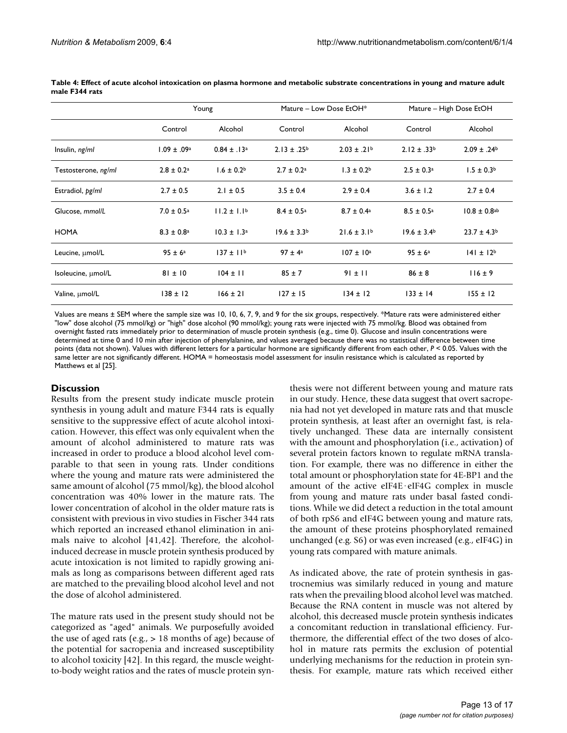|                     | Young                      |                             | Mature - Low Dose EtOH*    |                       | Mature - High Dose EtOH    |                              |
|---------------------|----------------------------|-----------------------------|----------------------------|-----------------------|----------------------------|------------------------------|
|                     | Control                    | Alcohol                     | Control                    | Alcohol               | Control                    | Alcohol                      |
| Insulin, ng/ml      | $1.09 \pm .09^{\circ}$     | $0.84 \pm .13$ <sup>a</sup> | $2.13 \pm .25^{\circ}$     | $2.03 \pm .21^{b}$    | $2.12 \pm .33^{b}$         | $2.09 \pm .24$ <sup>b</sup>  |
| Testosterone, ng/ml | $2.8 \pm 0.2$ <sup>a</sup> | $1.6 \pm 0.2^b$             | $2.7 \pm 0.2$ <sup>a</sup> | $1.3 \pm 0.2^b$       | $2.5 \pm 0.3$ <sup>a</sup> | $1.5 \pm 0.3^b$              |
| Estradiol, pg/ml    | $2.7 \pm 0.5$              | $2.1 \pm 0.5$               | $3.5 \pm 0.4$              | $2.9 \pm 0.4$         | $3.6 \pm 1.2$              | $2.7 \pm 0.4$                |
| Glucose, mmol/L     | $7.0 \pm 0.5^{\circ}$      | $11.2 \pm 1.1$              | $8.4 \pm 0.5^{\circ}$      | $8.7 \pm 0.4^{\circ}$ | $8.5 \pm 0.5^{\circ}$      | $10.8 \pm 0.8$ <sup>ab</sup> |
| <b>HOMA</b>         | $8.3 \pm 0.8^{\rm a}$      | $10.3 \pm 1.3^a$            | $19.6 \pm 3.3^b$           | $21.6 \pm 3.1^{b}$    | $19.6 \pm 3.4^{\circ}$     | $23.7 \pm 4.3^b$             |
| Leucine, umol/L     | $95 \pm 6^{\circ}$         | $137 \pm 11^{b}$            | $97 \pm 4^{\circ}$         | $107 \pm 10^a$        | $95 \pm 6^{\circ}$         | $141 \pm 12^{b}$             |
| Isoleucine, µmol/L  | $81 \pm 10$                | $104 \pm 11$                | $85 \pm 7$                 | $91 \pm 11$           | $86 \pm 8$                 | $116 \pm 9$                  |
| Valine, umol/L      | $138 \pm 12$               | $166 \pm 21$                | $127 \pm 15$               | $134 \pm 12$          | $133 \pm 14$               | $155 \pm 12$                 |

**Table 4: Effect of acute alcohol intoxication on plasma hormone and metabolic substrate concentrations in young and mature adult male F344 rats**

Values are means ± SEM where the sample size was 10, 10, 6, 7, 9, and 9 for the six groups, respectively. \*Mature rats were administered either "low" dose alcohol (75 mmol/kg) or "high" dose alcohol (90 mmol/kg); young rats were injected with 75 mmol/kg. Blood was obtained from overnight fasted rats immediately prior to determination of muscle protein synthesis (e.g., time 0). Glucose and insulin concentrations were determined at time 0 and 10 min after injection of phenylalanine, and values averaged because there was no statistical difference between time points (data not shown). Values with different letters for a particular hormone are significantly different from each other, *P* < 0.05. Values with the same letter are not significantly different. HOMA = homeostasis model assessment for insulin resistance which is calculated as reported by Matthews et al [25].

#### **Discussion**

Results from the present study indicate muscle protein synthesis in young adult and mature F344 rats is equally sensitive to the suppressive effect of acute alcohol intoxication. However, this effect was only equivalent when the amount of alcohol administered to mature rats was increased in order to produce a blood alcohol level comparable to that seen in young rats. Under conditions where the young and mature rats were administered the same amount of alcohol (75 mmol/kg), the blood alcohol concentration was 40% lower in the mature rats. The lower concentration of alcohol in the older mature rats is consistent with previous in vivo studies in Fischer 344 rats which reported an increased ethanol elimination in animals naive to alcohol [41,42]. Therefore, the alcoholinduced decrease in muscle protein synthesis produced by acute intoxication is not limited to rapidly growing animals as long as comparisons between different aged rats are matched to the prevailing blood alcohol level and not the dose of alcohol administered.

The mature rats used in the present study should not be categorized as "aged" animals. We purposefully avoided the use of aged rats (e.g.,  $> 18$  months of age) because of the potential for sacropenia and increased susceptibility to alcohol toxicity [42]. In this regard, the muscle weightto-body weight ratios and the rates of muscle protein synthesis were not different between young and mature rats in our study. Hence, these data suggest that overt sacropenia had not yet developed in mature rats and that muscle protein synthesis, at least after an overnight fast, is relatively unchanged. These data are internally consistent with the amount and phosphorylation (i.e., activation) of several protein factors known to regulate mRNA translation. For example, there was no difference in either the total amount or phosphorylation state for 4E-BP1 and the amount of the active eIF4E·eIF4G complex in muscle from young and mature rats under basal fasted conditions. While we did detect a reduction in the total amount of both rpS6 and eIF4G between young and mature rats, the amount of these proteins phosphorylated remained unchanged (e.g. S6) or was even increased (e.g., eIF4G) in young rats compared with mature animals.

As indicated above, the rate of protein synthesis in gastrocnemius was similarly reduced in young and mature rats when the prevailing blood alcohol level was matched. Because the RNA content in muscle was not altered by alcohol, this decreased muscle protein synthesis indicates a concomitant reduction in translational efficiency. Furthermore, the differential effect of the two doses of alcohol in mature rats permits the exclusion of potential underlying mechanisms for the reduction in protein synthesis. For example, mature rats which received either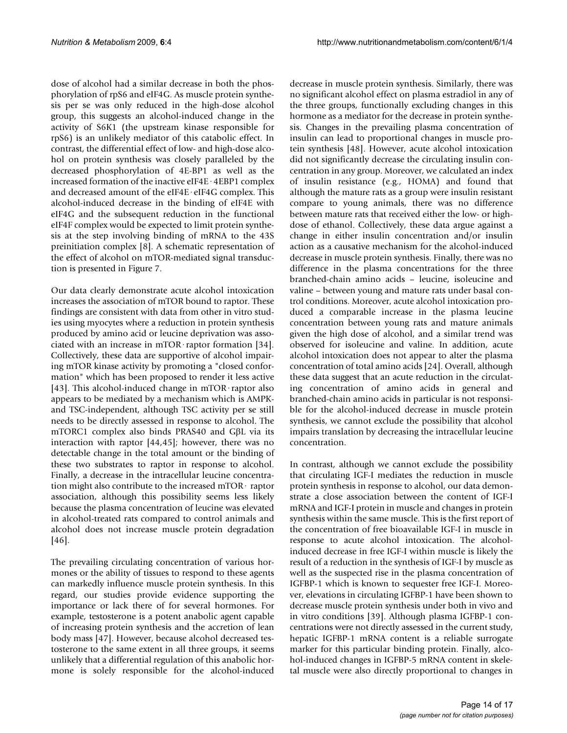dose of alcohol had a similar decrease in both the phosphorylation of rpS6 and eIF4G. As muscle protein synthesis per se was only reduced in the high-dose alcohol group, this suggests an alcohol-induced change in the activity of S6K1 (the upstream kinase responsible for rpS6) is an unlikely mediator of this catabolic effect. In contrast, the differential effect of low- and high-dose alcohol on protein synthesis was closely paralleled by the decreased phosphorylation of 4E-BP1 as well as the increased formation of the inactive eIF4E·4EBP1 complex and decreased amount of the eIF4E·eIF4G complex. This alcohol-induced decrease in the binding of eIF4E with eIF4G and the subsequent reduction in the functional eIF4F complex would be expected to limit protein synthesis at the step involving binding of mRNA to the 43S preinitiation complex [8]. A schematic representation of the effect of alcohol on mTOR-mediated signal transduction is presented in Figure 7.

Our data clearly demonstrate acute alcohol intoxication increases the association of mTOR bound to raptor. These findings are consistent with data from other in vitro studies using myocytes where a reduction in protein synthesis produced by amino acid or leucine deprivation was associated with an increase in mTOR·raptor formation [34]. Collectively, these data are supportive of alcohol impairing mTOR kinase activity by promoting a "closed conformation" which has been proposed to render it less active [43]. This alcohol-induced change in mTOR $\cdot$  raptor also appears to be mediated by a mechanism which is AMPKand TSC-independent, although TSC activity per se still needs to be directly assessed in response to alcohol. The mTORC1 complex also binds PRAS40 and GβL via its interaction with raptor [44,45]; however, there was no detectable change in the total amount or the binding of these two substrates to raptor in response to alcohol. Finally, a decrease in the intracellular leucine concentration might also contribute to the increased mTOR· raptor association, although this possibility seems less likely because the plasma concentration of leucine was elevated in alcohol-treated rats compared to control animals and alcohol does not increase muscle protein degradation [46].

The prevailing circulating concentration of various hormones or the ability of tissues to respond to these agents can markedly influence muscle protein synthesis. In this regard, our studies provide evidence supporting the importance or lack there of for several hormones. For example, testosterone is a potent anabolic agent capable of increasing protein synthesis and the accretion of lean body mass [47]. However, because alcohol decreased testosterone to the same extent in all three groups, it seems unlikely that a differential regulation of this anabolic hormone is solely responsible for the alcohol-induced

decrease in muscle protein synthesis. Similarly, there was no significant alcohol effect on plasma estradiol in any of the three groups, functionally excluding changes in this hormone as a mediator for the decrease in protein synthesis. Changes in the prevailing plasma concentration of insulin can lead to proportional changes in muscle protein synthesis [48]. However, acute alcohol intoxication did not significantly decrease the circulating insulin concentration in any group. Moreover, we calculated an index of insulin resistance (e.g., HOMA) and found that although the mature rats as a group were insulin resistant compare to young animals, there was no difference between mature rats that received either the low- or highdose of ethanol. Collectively, these data argue against a change in either insulin concentration and/or insulin action as a causative mechanism for the alcohol-induced decrease in muscle protein synthesis. Finally, there was no difference in the plasma concentrations for the three branched-chain amino acids – leucine, isoleucine and valine – between young and mature rats under basal control conditions. Moreover, acute alcohol intoxication produced a comparable increase in the plasma leucine concentration between young rats and mature animals given the high dose of alcohol, and a similar trend was observed for isoleucine and valine. In addition, acute alcohol intoxication does not appear to alter the plasma concentration of total amino acids [24]. Overall, although these data suggest that an acute reduction in the circulating concentration of amino acids in general and branched-chain amino acids in particular is not responsible for the alcohol-induced decrease in muscle protein synthesis, we cannot exclude the possibility that alcohol impairs translation by decreasing the intracellular leucine concentration.

In contrast, although we cannot exclude the possibility that circulating IGF-I mediates the reduction in muscle protein synthesis in response to alcohol, our data demonstrate a close association between the content of IGF-I mRNA and IGF-I protein in muscle and changes in protein synthesis within the same muscle. This is the first report of the concentration of free bioavailable IGF-I in muscle in response to acute alcohol intoxication. The alcoholinduced decrease in free IGF-I within muscle is likely the result of a reduction in the synthesis of IGF-I by muscle as well as the suspected rise in the plasma concentration of IGFBP-1 which is known to sequester free IGF-I. Moreover, elevations in circulating IGFBP-1 have been shown to decrease muscle protein synthesis under both in vivo and in vitro conditions [39]. Although plasma IGFBP-1 concentrations were not directly assessed in the current study, hepatic IGFBP-1 mRNA content is a reliable surrogate marker for this particular binding protein. Finally, alcohol-induced changes in IGFBP-5 mRNA content in skeletal muscle were also directly proportional to changes in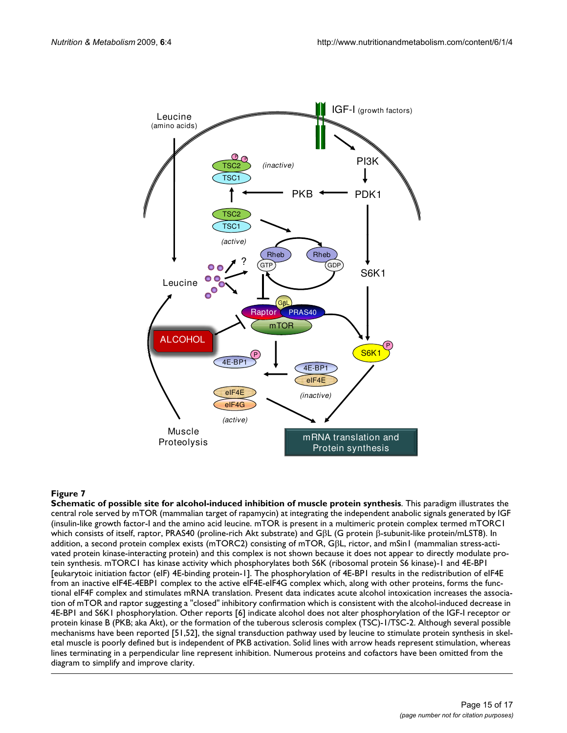

#### $$

**Schematic of possible site for alcohol-induced inhibition of muscle protein synthesis**. This paradigm illustrates the central role served by mTOR (mammalian target of rapamycin) at integrating the independent anabolic signals generated by IGF (insulin-like growth factor-I and the amino acid leucine. mTOR is present in a multimeric protein complex termed mTORC1 which consists of itself, raptor, PRAS40 (proline-rich Akt substrate) and GβL (G protein β-subunit-like protein/mLST8). In addition, a second protein complex exists (mTORC2) consisting of mTOR, GβL, rictor, and mSin1 (mammalian stress-activated protein kinase-interacting protein) and this complex is not shown because it does not appear to directly modulate protein synthesis. mTORC1 has kinase activity which phosphorylates both S6K (ribosomal protein S6 kinase)-1 and 4E-BP1 [eukarytoic initiation factor (eIF) 4E-binding protein-1]. The phosphorylation of 4E-BP1 results in the redistribution of eIF4E from an inactive eIF4E-4EBP1 complex to the active eIF4E-eIF4G complex which, along with other proteins, forms the functional eIF4F complex and stimulates mRNA translation. Present data indicates acute alcohol intoxication increases the association of mTOR and raptor suggesting a "closed" inhibitory confirmation which is consistent with the alcohol-induced decrease in 4E-BP1 and S6K1 phosphorylation. Other reports [6] indicate alcohol does not alter phosphorylation of the IGF-I receptor or protein kinase B (PKB; aka Akt), or the formation of the tuberous sclerosis complex (TSC)-1/TSC-2. Although several possible mechanisms have been reported [51,52], the signal transduction pathway used by leucine to stimulate protein synthesis in skeletal muscle is poorly defined but is independent of PKB activation. Solid lines with arrow heads represent stimulation, whereas lines terminating in a perpendicular line represent inhibition. Numerous proteins and cofactors have been omitted from the diagram to simplify and improve clarity.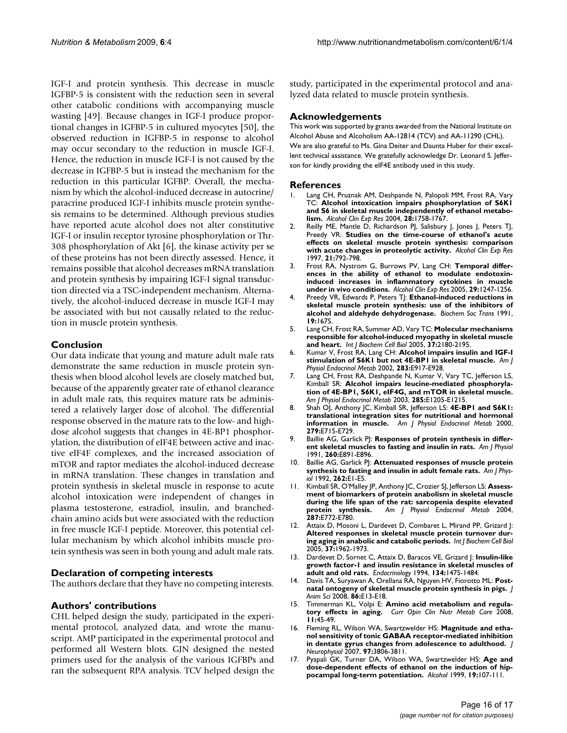IGF-I and protein synthesis. This decrease in muscle IGFBP-5 is consistent with the reduction seen in several other catabolic conditions with accompanying muscle wasting [49]. Because changes in IGF-I produce proportional changes in IGFBP-5 in cultured myocytes [50], the observed reduction in IGFBP-5 in response to alcohol may occur secondary to the reduction in muscle IGF-I. Hence, the reduction in muscle IGF-I is not caused by the decrease in IGFBP-5 but is instead the mechanism for the reduction in this particular IGFBP. Overall, the mechanism by which the alcohol-induced decrease in autocrine/ paracrine produced IGF-I inhibits muscle protein synthesis remains to be determined. Although previous studies have reported acute alcohol does not alter constitutive IGF-I or insulin receptor tyrosine phosphorylation or Thr-308 phosphorylation of Akt [6], the kinase activity per se of these proteins has not been directly assessed. Hence, it remains possible that alcohol decreases mRNA translation and protein synthesis by impairing IGF-I signal transduction directed via a TSC-independent mechanism. Alternatively, the alcohol-induced decrease in muscle IGF-I may be associated with but not causally related to the reduction in muscle protein synthesis.

#### **Conclusion**

Our data indicate that young and mature adult male rats demonstrate the same reduction in muscle protein synthesis when blood alcohol levels are closely matched but, because of the apparently greater rate of ethanol clearance in adult male rats, this requires mature rats be administered a relatively larger dose of alcohol. The differential response observed in the mature rats to the low- and highdose alcohol suggests that changes in 4E-BP1 phosphorylation, the distribution of eIF4E between active and inactive eIF4F complexes, and the increased association of mTOR and raptor mediates the alcohol-induced decrease in mRNA translation. These changes in translation and protein synthesis in skeletal muscle in response to acute alcohol intoxication were independent of changes in plasma testosterone, estradiol, insulin, and branchedchain amino acids but were associated with the reduction in free muscle IGF-I peptide. Moreover, this potential cellular mechanism by which alcohol inhibits muscle protein synthesis was seen in both young and adult male rats.

#### **Declaration of competing interests**

The authors declare that they have no competing interests.

#### **Authors' contributions**

CHL helped design the study, participated in the experimental protocol, analyzed data, and wrote the manuscript. AMP participated in the experimental protocol and performed all Western blots. GJN designed the nested primers used for the analysis of the various IGFBPs and ran the subsequent RPA analysis. TCV helped design the study, participated in the experimental protocol and analyzed data related to muscle protein synthesis.

#### **Acknowledgements**

This work was supported by grants awarded from the National Institute on Alcohol Abuse and Alcoholism AA-12814 (TCV) and AA-11290 (CHL). We are also grateful to Ms. Gina Deiter and Daunta Huber for their excellent technical assistance. We gratefully acknowledge Dr. Leonard S. Jefferson for kindly providing the eIF4E antibody used in this study.

#### **References**

- Lang CH, Pruznak AM, Deshpande N, Palopoli MM, Frost RA, Vary TC: **[Alcohol intoxication impairs phosphorylation of S6K1](http://www.ncbi.nlm.nih.gov/entrez/query.fcgi?cmd=Retrieve&db=PubMed&dopt=Abstract&list_uids=15547464) [and S6 in skeletal muscle independently of ethanol metabo](http://www.ncbi.nlm.nih.gov/entrez/query.fcgi?cmd=Retrieve&db=PubMed&dopt=Abstract&list_uids=15547464)[lism.](http://www.ncbi.nlm.nih.gov/entrez/query.fcgi?cmd=Retrieve&db=PubMed&dopt=Abstract&list_uids=15547464)** *Alcohol Clin Exp Res* 2004, **28:**1758-1767.
- Reilly ME, Mantle D, Richardson PJ, Salisbury J, Jones J, Peters TJ, Preedy VR: **[Studies on the time-course of ethanol's acute](http://www.ncbi.nlm.nih.gov/entrez/query.fcgi?cmd=Retrieve&db=PubMed&dopt=Abstract&list_uids=9267527) [effects on skeletal muscle protein synthesis: comparison](http://www.ncbi.nlm.nih.gov/entrez/query.fcgi?cmd=Retrieve&db=PubMed&dopt=Abstract&list_uids=9267527) [with acute changes in proteolytic activity.](http://www.ncbi.nlm.nih.gov/entrez/query.fcgi?cmd=Retrieve&db=PubMed&dopt=Abstract&list_uids=9267527)** *Alcohol Clin Exp Res* 1997, **21:**792-798.
- 3. Frost RA, Nystrom G, Burrows PV, Lang CH: **[Temporal differ](http://www.ncbi.nlm.nih.gov/entrez/query.fcgi?cmd=Retrieve&db=PubMed&dopt=Abstract&list_uids=16046881)[ences in the ability of ethanol to modulate endotoxin](http://www.ncbi.nlm.nih.gov/entrez/query.fcgi?cmd=Retrieve&db=PubMed&dopt=Abstract&list_uids=16046881)induced increases in inflammatory cytokines in muscle [under in vivo conditions.](http://www.ncbi.nlm.nih.gov/entrez/query.fcgi?cmd=Retrieve&db=PubMed&dopt=Abstract&list_uids=16046881)** *Alcohol Clin Exp Res* 2005, **29:**1247-1256.
- 4. Preedy VR, Edwards P, Peters TJ: **[Ethanol-induced reductions in](http://www.ncbi.nlm.nih.gov/entrez/query.fcgi?cmd=Retrieve&db=PubMed&dopt=Abstract&list_uids=1889554) [skeletal muscle protein synthesis: use of the inhibitors of](http://www.ncbi.nlm.nih.gov/entrez/query.fcgi?cmd=Retrieve&db=PubMed&dopt=Abstract&list_uids=1889554) [alcohol and aldehyde dehydrogenase.](http://www.ncbi.nlm.nih.gov/entrez/query.fcgi?cmd=Retrieve&db=PubMed&dopt=Abstract&list_uids=1889554)** *Biochem Soc Trans* 1991, **19:**167S.
- 5. Lang CH, Frost RA, Summer AD, Vary TC: **[Molecular mechanisms](http://www.ncbi.nlm.nih.gov/entrez/query.fcgi?cmd=Retrieve&db=PubMed&dopt=Abstract&list_uids=15982919) [responsible for alcohol-induced myopathy in skeletal muscle](http://www.ncbi.nlm.nih.gov/entrez/query.fcgi?cmd=Retrieve&db=PubMed&dopt=Abstract&list_uids=15982919) [and heart.](http://www.ncbi.nlm.nih.gov/entrez/query.fcgi?cmd=Retrieve&db=PubMed&dopt=Abstract&list_uids=15982919)** *Int J Biochem Cell Biol* 2005, **37:**2180-2195.
- 6. Kumar V, Frost RA, Lang CH: **[Alcohol impairs insulin and IGF-I](http://www.ncbi.nlm.nih.gov/entrez/query.fcgi?cmd=Retrieve&db=PubMed&dopt=Abstract&list_uids=12376318) [stimulation of S6K1 but not 4E-BP1 in skeletal muscle.](http://www.ncbi.nlm.nih.gov/entrez/query.fcgi?cmd=Retrieve&db=PubMed&dopt=Abstract&list_uids=12376318)** *Am J Physiol Endocrinol Metab* 2002, **283:**E917-E928.
- 7. Lang CH, Frost RA, Deshpande N, Kumar V, Vary TC, Jefferson LS, Kimball SR: **[Alcohol impairs leucine-mediated phosphoryla](http://www.ncbi.nlm.nih.gov/entrez/query.fcgi?cmd=Retrieve&db=PubMed&dopt=Abstract&list_uids=12944322)[tion of 4E-BP1, S6K1, eIF4G, and mTOR in skeletal muscle.](http://www.ncbi.nlm.nih.gov/entrez/query.fcgi?cmd=Retrieve&db=PubMed&dopt=Abstract&list_uids=12944322)** *Am J Physiol Endocrinol Metab* 2003, **285:**E1205-E1215.
- 8. Shah OJ, Anthony JC, Kimball SR, Jefferson LS: **[4E-BP1 and S6K1:](http://www.ncbi.nlm.nih.gov/entrez/query.fcgi?cmd=Retrieve&db=PubMed&dopt=Abstract&list_uids=11001751) [translational integration sites for nutritional and hormonal](http://www.ncbi.nlm.nih.gov/entrez/query.fcgi?cmd=Retrieve&db=PubMed&dopt=Abstract&list_uids=11001751) [information in muscle.](http://www.ncbi.nlm.nih.gov/entrez/query.fcgi?cmd=Retrieve&db=PubMed&dopt=Abstract&list_uids=11001751)** *Am J Physiol Endocrinol Metab* 2000, **279:**E715-E729.
- 9. Baillie AG, Garlick PJ: [Responses of protein synthesis in differ](http://www.ncbi.nlm.nih.gov/entrez/query.fcgi?cmd=Retrieve&db=PubMed&dopt=Abstract&list_uids=1711778)**[ent skeletal muscles to fasting and insulin in rats.](http://www.ncbi.nlm.nih.gov/entrez/query.fcgi?cmd=Retrieve&db=PubMed&dopt=Abstract&list_uids=1711778)** *Am J Physiol* 1991, **260:**E891-E896.
- 10. Baillie AG, Garlick PJ: **[Attenuated responses of muscle protein](http://www.ncbi.nlm.nih.gov/entrez/query.fcgi?cmd=Retrieve&db=PubMed&dopt=Abstract&list_uids=1733239) [synthesis to fasting and insulin in adult female rats.](http://www.ncbi.nlm.nih.gov/entrez/query.fcgi?cmd=Retrieve&db=PubMed&dopt=Abstract&list_uids=1733239)** *Am J Physiol* 1992, **262:**E1-E5.
- 11. Kimball SR, O'Malley JP, Anthony JC, Crozier SJ, Jefferson LS: **[Assess](http://www.ncbi.nlm.nih.gov/entrez/query.fcgi?cmd=Retrieve&db=PubMed&dopt=Abstract&list_uids=15187001)[ment of biomarkers of protein anabolism in skeletal muscle](http://www.ncbi.nlm.nih.gov/entrez/query.fcgi?cmd=Retrieve&db=PubMed&dopt=Abstract&list_uids=15187001) during the life span of the rat: sarcopenia despite elevated [protein synthesis.](http://www.ncbi.nlm.nih.gov/entrez/query.fcgi?cmd=Retrieve&db=PubMed&dopt=Abstract&list_uids=15187001)** *Am J Physiol Endocrinol Metab* 2004, **287:**E772-E780.
- 12. Attaix D, Mosoni L, Dardevet D, Combaret L, Mirand PP, Grizard J: **[Altered responses in skeletal muscle protein turnover dur](http://www.ncbi.nlm.nih.gov/entrez/query.fcgi?cmd=Retrieve&db=PubMed&dopt=Abstract&list_uids=15905114)[ing aging in anabolic and catabolic periods.](http://www.ncbi.nlm.nih.gov/entrez/query.fcgi?cmd=Retrieve&db=PubMed&dopt=Abstract&list_uids=15905114)** *Int J Biochem Cell Biol* 2005, **37:**1962-1973.
- 13. Dardevet D, Sornet C, Attaix D, Baracos VE, Grizard |: [Insulin-like](http://www.ncbi.nlm.nih.gov/entrez/query.fcgi?cmd=Retrieve&db=PubMed&dopt=Abstract&list_uids=8119189) **[growth factor-1 and insulin resistance in skeletal muscles of](http://www.ncbi.nlm.nih.gov/entrez/query.fcgi?cmd=Retrieve&db=PubMed&dopt=Abstract&list_uids=8119189) [adult and old rats.](http://www.ncbi.nlm.nih.gov/entrez/query.fcgi?cmd=Retrieve&db=PubMed&dopt=Abstract&list_uids=8119189)** *Endocrinology* 1994, **134:**1475-1484.
- 14. Davis TA, Suryawan A, Orellana RA, Nguyen HV, Fiorotto ML: **[Post](http://www.ncbi.nlm.nih.gov/entrez/query.fcgi?cmd=Retrieve&db=PubMed&dopt=Abstract&list_uids=17785597)[natal ontogeny of skeletal muscle protein synthesis in pigs.](http://www.ncbi.nlm.nih.gov/entrez/query.fcgi?cmd=Retrieve&db=PubMed&dopt=Abstract&list_uids=17785597)** *J Anim Sci* 2008, **86:**E13-E18.
- 15. Timmerman KL, Volpi E: **[Amino acid metabolism and regula](http://www.ncbi.nlm.nih.gov/entrez/query.fcgi?cmd=Retrieve&db=PubMed&dopt=Abstract&list_uids=18090658)[tory effects in aging.](http://www.ncbi.nlm.nih.gov/entrez/query.fcgi?cmd=Retrieve&db=PubMed&dopt=Abstract&list_uids=18090658)** *Curr Opin Clin Nutr Metab Care* 2008, **11:**45-49.
- 16. Fleming RL, Wilson WA, Swartzwelder HS: **[Magnitude and etha](http://www.ncbi.nlm.nih.gov/entrez/query.fcgi?cmd=Retrieve&db=PubMed&dopt=Abstract&list_uids=17376852)[nol sensitivity of tonic GABAA receptor-mediated inhibition](http://www.ncbi.nlm.nih.gov/entrez/query.fcgi?cmd=Retrieve&db=PubMed&dopt=Abstract&list_uids=17376852) [in dentate gyrus changes from adolescence to adulthood.](http://www.ncbi.nlm.nih.gov/entrez/query.fcgi?cmd=Retrieve&db=PubMed&dopt=Abstract&list_uids=17376852)** *J Neurophysiol* 2007, **97:**3806-3811.
- 17. Pyapali GK, Turner DA, Wilson WA, Swartzwelder HS: **[Age and](http://www.ncbi.nlm.nih.gov/entrez/query.fcgi?cmd=Retrieve&db=PubMed&dopt=Abstract&list_uids=10548153) [dose-dependent effects of ethanol on the induction of hip](http://www.ncbi.nlm.nih.gov/entrez/query.fcgi?cmd=Retrieve&db=PubMed&dopt=Abstract&list_uids=10548153)[pocampal long-term potentiation.](http://www.ncbi.nlm.nih.gov/entrez/query.fcgi?cmd=Retrieve&db=PubMed&dopt=Abstract&list_uids=10548153)** *Alcohol* 1999, **19:**107-111.